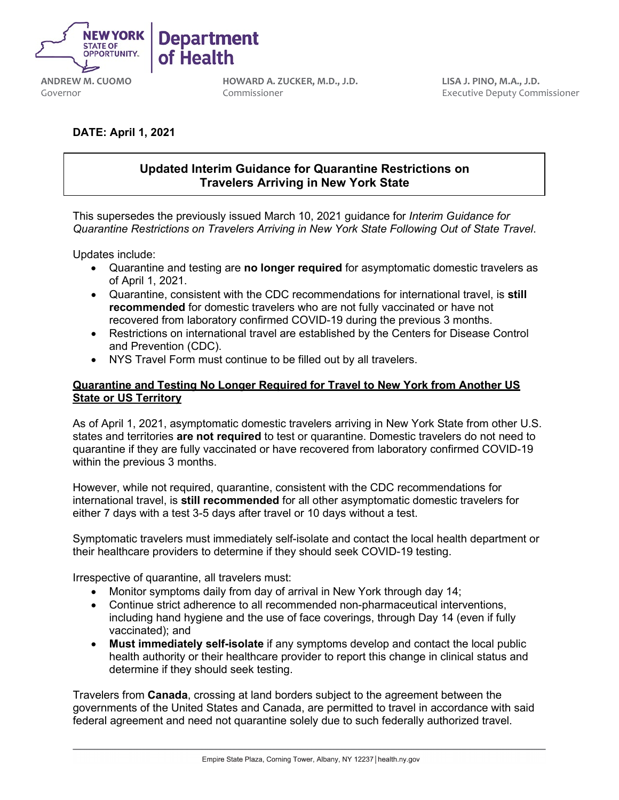

**ANDREW M. CUOMO** Governor

**HOWARD A. ZUCKER, M.D., J.D.** Commissioner

**LISA J. PINO, M.A., J.D.** Executive Deputy Commissioner

# **DATE: April 1, 2021**

# **Updated Interim Guidance for Quarantine Restrictions on Travelers Arriving in New York State**

This supersedes the previously issued March 10, 2021 guidance for *Interim Guidance for Quarantine Restrictions on Travelers Arriving in New York State Following Out of State Travel*.

Updates include:

- Quarantine and testing are **no longer required** for asymptomatic domestic travelers as of April 1, 2021.
- Quarantine, consistent with the CDC recommendations for international travel, is **still recommended** for domestic travelers who are not fully vaccinated or have not recovered from laboratory confirmed COVID-19 during the previous 3 months.
- Restrictions on international travel are established by the Centers for Disease Control and Prevention (CDC).
- NYS Travel Form must continue to be filled out by all travelers.

## **Quarantine and Testing No Longer Required for Travel to New York from Another US State or US Territory**

As of April 1, 2021, asymptomatic domestic travelers arriving in New York State from other U.S. states and territories **are not required** to test or quarantine. Domestic travelers do not need to quarantine if they are fully vaccinated or have recovered from laboratory confirmed COVID-19 within the previous 3 months.

However, while not required, quarantine, consistent with the CDC recommendations for international travel, is **still recommended** for all other asymptomatic domestic travelers for either 7 days with a test 3-5 days after travel or 10 days without a test.

Symptomatic travelers must immediately self-isolate and contact the local health department or their healthcare providers to determine if they should seek COVID-19 testing.

Irrespective of quarantine, all travelers must:

- Monitor symptoms daily from day of arrival in New York through day 14;
- Continue strict adherence to all recommended non-pharmaceutical interventions, including hand hygiene and the use of face coverings, through Day 14 (even if fully vaccinated); and
- **Must immediately self-isolate** if any symptoms develop and contact the local public health authority or their healthcare provider to report this change in clinical status and determine if they should seek testing.

Travelers from **Canada**, crossing at land borders subject to the agreement between the governments of the United States and Canada, are permitted to travel in accordance with said federal agreement and need not quarantine solely due to such federally authorized travel.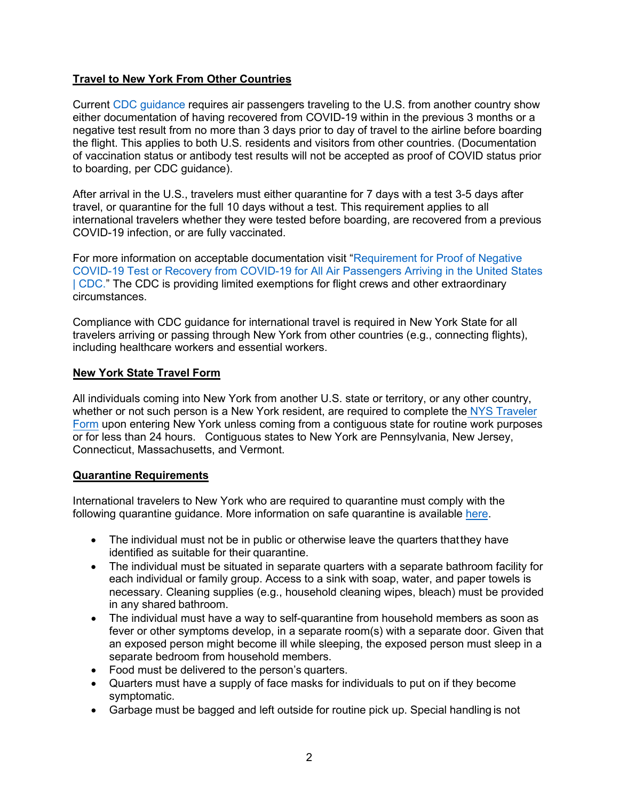## **Travel to New York From Other Countries**

Current [CDC guidance](https://www.cdc.gov/coronavirus/2019-ncov/travelers/testing-international-air-travelers.html) requires air passengers traveling to the U.S. from another country show either documentation of having recovered from COVID-19 within in the previous 3 months or a negative test result from no more than 3 days prior to day of travel to the airline before boarding the flight. This applies to both U.S. residents and visitors from other countries. (Documentation of vaccination status or antibody test results will not be accepted as proof of COVID status prior to boarding, per CDC guidance).

After arrival in the U.S., travelers must either quarantine for 7 days with a test 3-5 days after travel, or quarantine for the full 10 days without a test. This requirement applies to all international travelers whether they were tested before boarding, are recovered from a previous COVID-19 infection, or are fully vaccinated.

For more information on acceptable documentation visit ["Requirement for Proof](https://www.cdc.gov/coronavirus/2019-ncov/travelers/testing-international-air-travelers.html) of Negative COVID-19 Test or Recovery [from COVID-19 for All Air Passengers Arriving in the United States](https://www.cdc.gov/coronavirus/2019-ncov/travelers/testing-international-air-travelers.html) [| CDC."](https://www.cdc.gov/coronavirus/2019-ncov/travelers/testing-international-air-travelers.html) The CDC is providing limited exemptions for flight crews and other extraordinary circumstances.

Compliance with CDC guidance for international travel is required in New York State for all travelers arriving or passing through New York from other countries (e.g., connecting flights), including healthcare workers and essential workers.

#### **New York State Travel Form**

All individuals coming into New York from another U.S. state or territory, or any other country, whether or not such person is a New York resident, are required to complete the [NYS Traveler](https://forms.ny.gov/s3/Welcome-to-New-York-State-Traveler-Health-Form) [Form](https://forms.ny.gov/s3/Welcome-to-New-York-State-Traveler-Health-Form) upon entering New York unless coming from a contiguous state for routine work purposes or for less than 24 hours. Contiguous states to New York are Pennsylvania, New Jersey, Connecticut, Massachusetts, and Vermont.

#### **Quarantine Requirements**

International travelers to New York who are required to quarantine must comply with the following quarantine guidance. More information on safe quarantine is available [here.](https://coronavirus.health.ny.gov/system/files/documents/2020/03/quarantine_guidance_0.pdf)

- The individual must not be in public or otherwise leave the quarters that they have identified as suitable for their quarantine.
- The individual must be situated in separate quarters with a separate bathroom facility for each individual or family group. Access to a sink with soap, water, and paper towels is necessary. Cleaning supplies (e.g., household cleaning wipes, bleach) must be provided in any shared bathroom.
- The individual must have a way to self-quarantine from household members as soon as fever or other symptoms develop, in a separate room(s) with a separate door. Given that an exposed person might become ill while sleeping, the exposed person must sleep in a separate bedroom from household members.
- Food must be delivered to the person's quarters.
- Quarters must have a supply of face masks for individuals to put on if they become symptomatic.
- Garbage must be bagged and left outside for routine pick up. Special handling is not